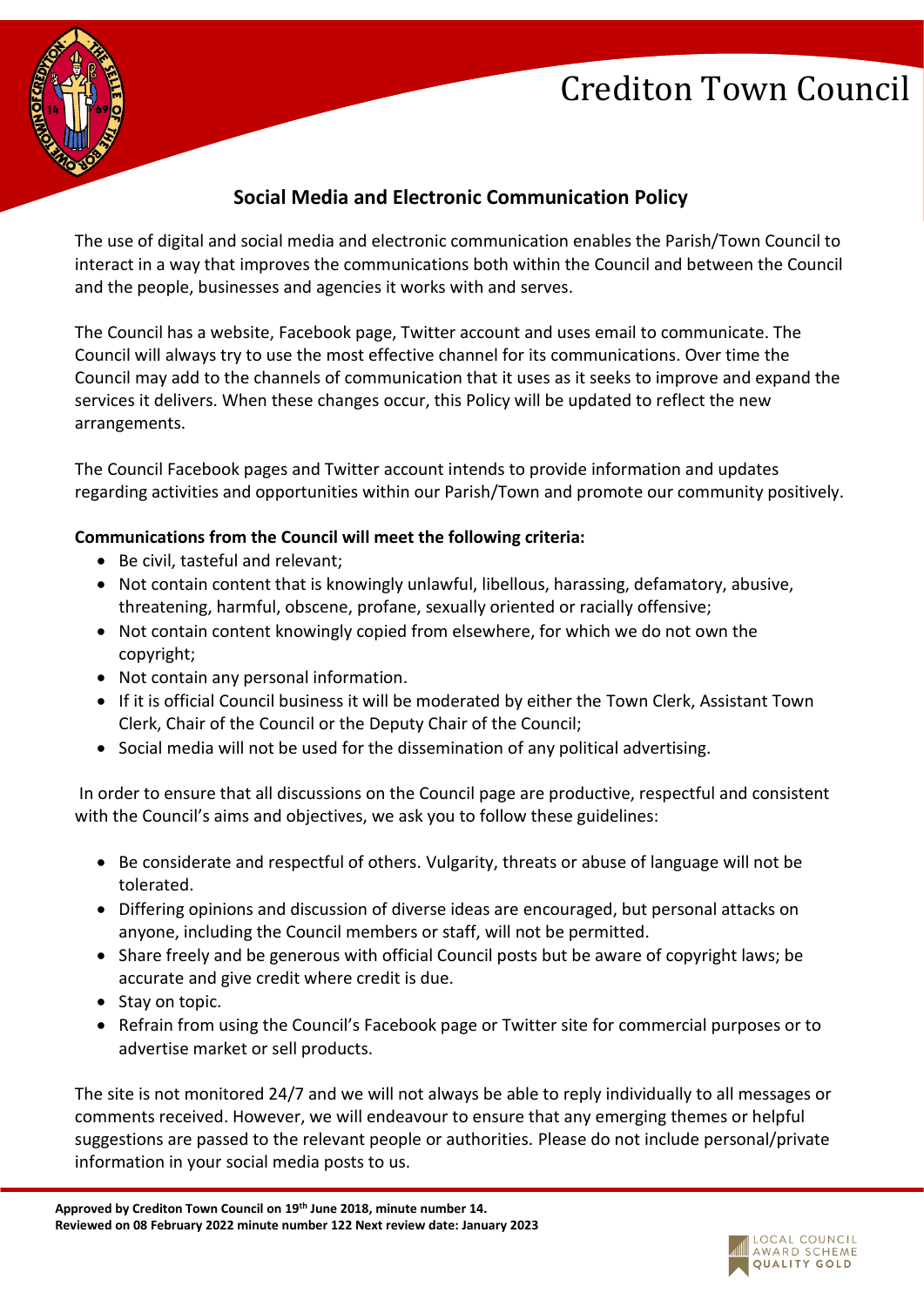# Crediton Town Council



## **Social Media and Electronic Communication Policy**

The use of digital and social media and electronic communication enables the Parish/Town Council to interact in a way that improves the communications both within the Council and between the Council and the people, businesses and agencies it works with and serves.

The Council has a website, Facebook page, Twitter account and uses email to communicate. The Council will always try to use the most effective channel for its communications. Over time the Council may add to the channels of communication that it uses as it seeks to improve and expand the services it delivers. When these changes occur, this Policy will be updated to reflect the new arrangements.

The Council Facebook pages and Twitter account intends to provide information and updates regarding activities and opportunities within our Parish/Town and promote our community positively.

### **Communications from the Council will meet the following criteria:**

- Be civil, tasteful and relevant;
- Not contain content that is knowingly unlawful, libellous, harassing, defamatory, abusive, threatening, harmful, obscene, profane, sexually oriented or racially offensive;
- Not contain content knowingly copied from elsewhere, for which we do not own the copyright;
- Not contain any personal information.
- If it is official Council business it will be moderated by either the Town Clerk, Assistant Town Clerk, Chair of the Council or the Deputy Chair of the Council;
- Social media will not be used for the dissemination of any political advertising.

In order to ensure that all discussions on the Council page are productive, respectful and consistent with the Council's aims and objectives, we ask you to follow these guidelines:

- Be considerate and respectful of others. Vulgarity, threats or abuse of language will not be tolerated.
- Differing opinions and discussion of diverse ideas are encouraged, but personal attacks on anyone, including the Council members or staff, will not be permitted.
- Share freely and be generous with official Council posts but be aware of copyright laws; be accurate and give credit where credit is due.
- Stay on topic.
- Refrain from using the Council's Facebook page or Twitter site for commercial purposes or to advertise market or sell products.

The site is not monitored 24/7 and we will not always be able to reply individually to all messages or comments received. However, we will endeavour to ensure that any emerging themes or helpful suggestions are passed to the relevant people or authorities. Please do not include personal/private information in your social media posts to us.

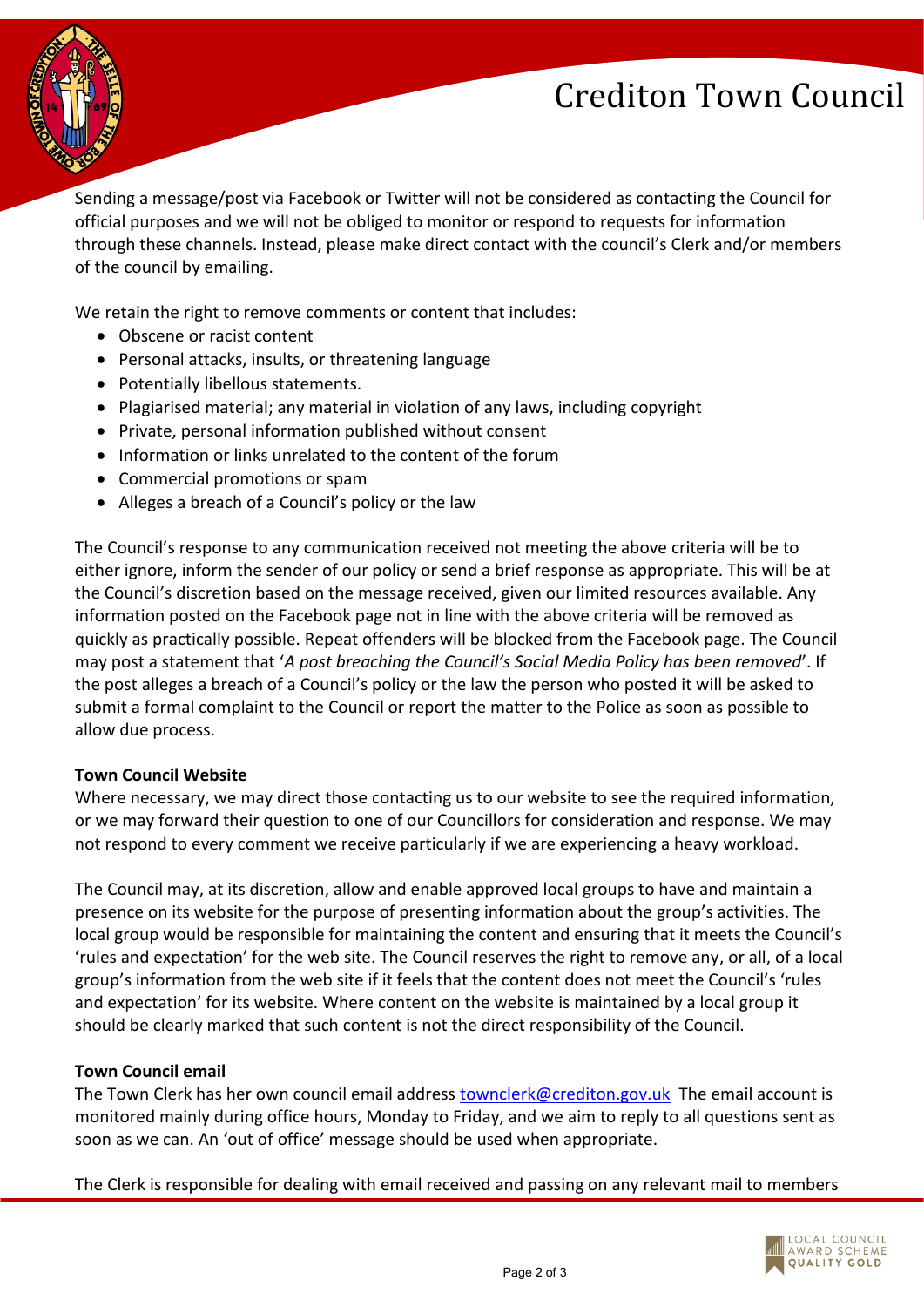# Crediton Town Council



Sending a message/post via Facebook or Twitter will not be considered as contacting the Council for official purposes and we will not be obliged to monitor or respond to requests for information through these channels. Instead, please make direct contact with the council's Clerk and/or members of the council by emailing.

We retain the right to remove comments or content that includes:

- Obscene or racist content
- Personal attacks, insults, or threatening language
- Potentially libellous statements.
- Plagiarised material; any material in violation of any laws, including copyright
- Private, personal information published without consent
- Information or links unrelated to the content of the forum
- Commercial promotions or spam
- Alleges a breach of a Council's policy or the law

The Council's response to any communication received not meeting the above criteria will be to either ignore, inform the sender of our policy or send a brief response as appropriate. This will be at the Council's discretion based on the message received, given our limited resources available. Any information posted on the Facebook page not in line with the above criteria will be removed as quickly as practically possible. Repeat offenders will be blocked from the Facebook page. The Council may post a statement that '*A post breaching the Council's Social Media Policy has been removed*'. If the post alleges a breach of a Council's policy or the law the person who posted it will be asked to submit a formal complaint to the Council or report the matter to the Police as soon as possible to allow due process.

#### **Town Council Website**

Where necessary, we may direct those contacting us to our website to see the required information, or we may forward their question to one of our Councillors for consideration and response. We may not respond to every comment we receive particularly if we are experiencing a heavy workload.

The Council may, at its discretion, allow and enable approved local groups to have and maintain a presence on its website for the purpose of presenting information about the group's activities. The local group would be responsible for maintaining the content and ensuring that it meets the Council's 'rules and expectation' for the web site. The Council reserves the right to remove any, or all, of a local group's information from the web site if it feels that the content does not meet the Council's 'rules and expectation' for its website. Where content on the website is maintained by a local group it should be clearly marked that such content is not the direct responsibility of the Council.

#### **Town Council email**

The Town Clerk has her own council email address [townclerk@crediton.gov.uk](mailto:townclerk@crediton.gov.uk) The email account is monitored mainly during office hours, Monday to Friday, and we aim to reply to all questions sent as soon as we can. An 'out of office' message should be used when appropriate.

The Clerk is responsible for dealing with email received and passing on any relevant mail to members